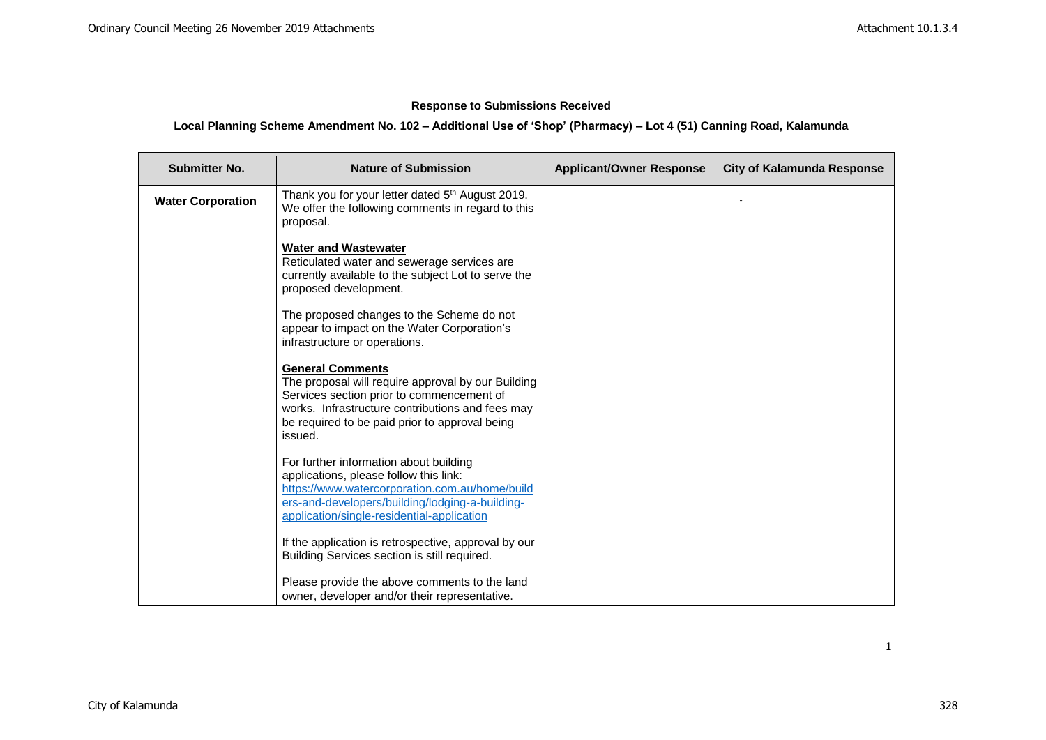# **Response to Submissions Received**

# **Local Planning Scheme Amendment No. 102 – Additional Use of 'Shop' (Pharmacy) – Lot 4 (51) Canning Road, Kalamunda**

| <b>Submitter No.</b>     | <b>Nature of Submission</b>                                                                                                                                                                                                                 | <b>Applicant/Owner Response</b> | <b>City of Kalamunda Response</b> |
|--------------------------|---------------------------------------------------------------------------------------------------------------------------------------------------------------------------------------------------------------------------------------------|---------------------------------|-----------------------------------|
| <b>Water Corporation</b> | Thank you for your letter dated 5 <sup>th</sup> August 2019.<br>We offer the following comments in regard to this<br>proposal.                                                                                                              |                                 |                                   |
|                          | <b>Water and Wastewater</b><br>Reticulated water and sewerage services are<br>currently available to the subject Lot to serve the<br>proposed development.                                                                                  |                                 |                                   |
|                          | The proposed changes to the Scheme do not<br>appear to impact on the Water Corporation's<br>infrastructure or operations.                                                                                                                   |                                 |                                   |
|                          | <b>General Comments</b><br>The proposal will require approval by our Building<br>Services section prior to commencement of<br>works. Infrastructure contributions and fees may<br>be required to be paid prior to approval being<br>issued. |                                 |                                   |
|                          | For further information about building<br>applications, please follow this link:<br>https://www.watercorporation.com.au/home/build<br>ers-and-developers/building/lodging-a-building-<br>application/single-residential-application         |                                 |                                   |
|                          | If the application is retrospective, approval by our<br>Building Services section is still required.                                                                                                                                        |                                 |                                   |
|                          | Please provide the above comments to the land<br>owner, developer and/or their representative.                                                                                                                                              |                                 |                                   |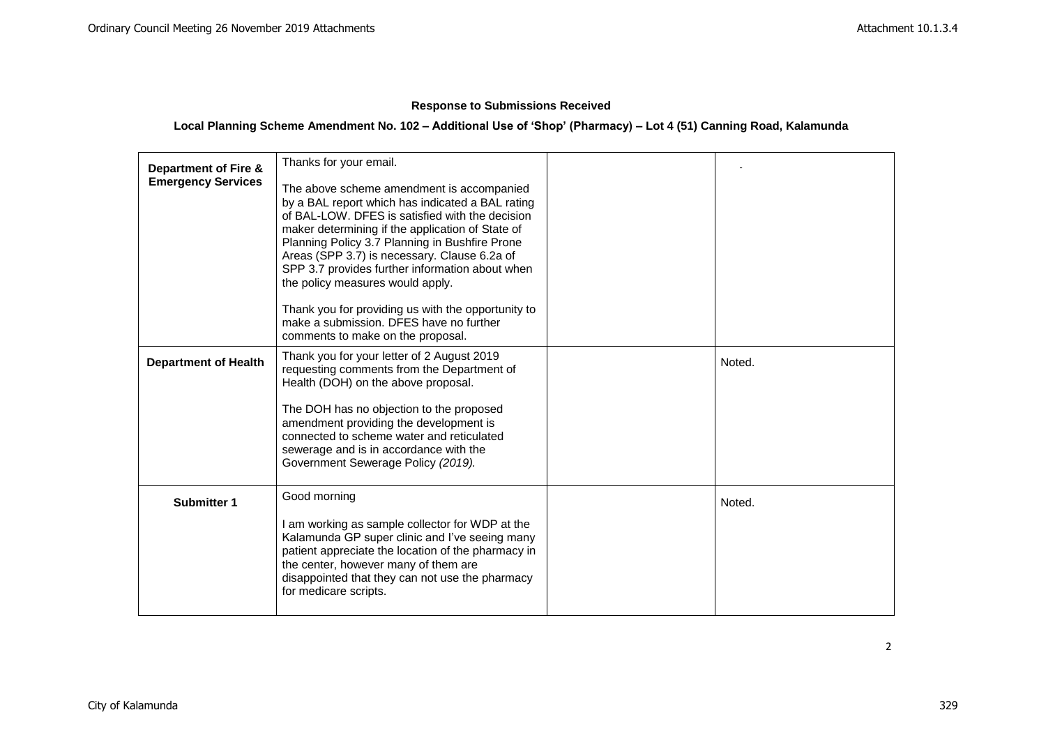# **Response to Submissions Received**

# **Local Planning Scheme Amendment No. 102 – Additional Use of 'Shop' (Pharmacy) – Lot 4 (51) Canning Road, Kalamunda**

| <b>Department of Fire &amp;</b><br><b>Emergency Services</b> | Thanks for your email.<br>The above scheme amendment is accompanied<br>by a BAL report which has indicated a BAL rating<br>of BAL-LOW. DFES is satisfied with the decision<br>maker determining if the application of State of<br>Planning Policy 3.7 Planning in Bushfire Prone<br>Areas (SPP 3.7) is necessary. Clause 6.2a of<br>SPP 3.7 provides further information about when<br>the policy measures would apply.<br>Thank you for providing us with the opportunity to<br>make a submission. DFES have no further<br>comments to make on the proposal. |        |
|--------------------------------------------------------------|---------------------------------------------------------------------------------------------------------------------------------------------------------------------------------------------------------------------------------------------------------------------------------------------------------------------------------------------------------------------------------------------------------------------------------------------------------------------------------------------------------------------------------------------------------------|--------|
| <b>Department of Health</b>                                  | Thank you for your letter of 2 August 2019<br>requesting comments from the Department of<br>Health (DOH) on the above proposal.<br>The DOH has no objection to the proposed<br>amendment providing the development is<br>connected to scheme water and reticulated<br>sewerage and is in accordance with the<br>Government Sewerage Policy (2019).                                                                                                                                                                                                            | Noted. |
| <b>Submitter 1</b>                                           | Good morning<br>I am working as sample collector for WDP at the<br>Kalamunda GP super clinic and I've seeing many<br>patient appreciate the location of the pharmacy in<br>the center, however many of them are<br>disappointed that they can not use the pharmacy<br>for medicare scripts.                                                                                                                                                                                                                                                                   | Noted. |

2